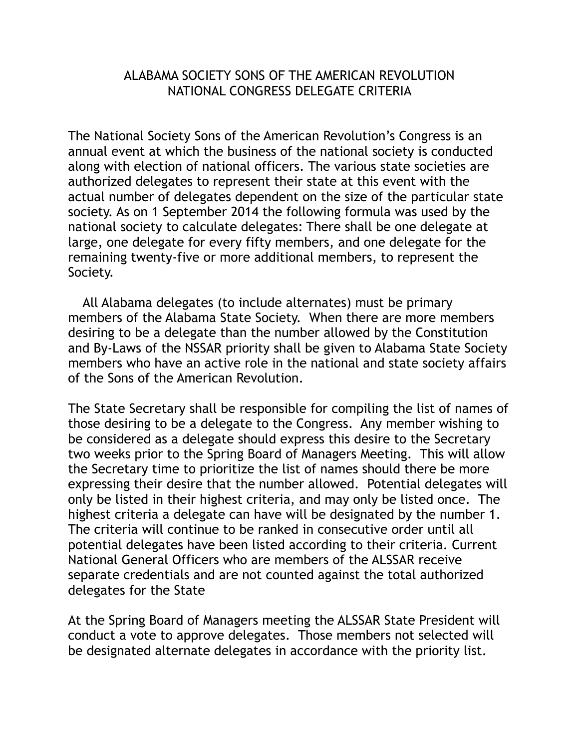## ALABAMA SOCIETY SONS OF THE AMERICAN REVOLUTION NATIONAL CONGRESS DELEGATE CRITERIA

The National Society Sons of the American Revolution's Congress is an annual event at which the business of the national society is conducted along with election of national officers. The various state societies are authorized delegates to represent their state at this event with the actual number of delegates dependent on the size of the particular state society. As on 1 September 2014 the following formula was used by the national society to calculate delegates: There shall be one delegate at large, one delegate for every fifty members, and one delegate for the remaining twenty-five or more additional members, to represent the Society.

 All Alabama delegates (to include alternates) must be primary members of the Alabama State Society. When there are more members desiring to be a delegate than the number allowed by the Constitution and By-Laws of the NSSAR priority shall be given to Alabama State Society members who have an active role in the national and state society affairs of the Sons of the American Revolution.

The State Secretary shall be responsible for compiling the list of names of those desiring to be a delegate to the Congress. Any member wishing to be considered as a delegate should express this desire to the Secretary two weeks prior to the Spring Board of Managers Meeting. This will allow the Secretary time to prioritize the list of names should there be more expressing their desire that the number allowed. Potential delegates will only be listed in their highest criteria, and may only be listed once. The highest criteria a delegate can have will be designated by the number 1. The criteria will continue to be ranked in consecutive order until all potential delegates have been listed according to their criteria. Current National General Officers who are members of the ALSSAR receive separate credentials and are not counted against the total authorized delegates for the State

At the Spring Board of Managers meeting the ALSSAR State President will conduct a vote to approve delegates. Those members not selected will be designated alternate delegates in accordance with the priority list.